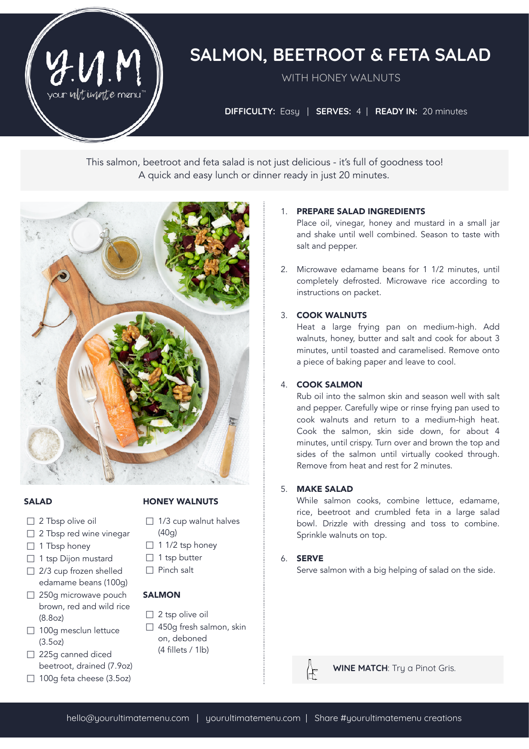

# **SALMON, BEETROOT & FETA SALAD**

WITH HONEY WALNUTS

**DIFFICULTY:** Easy | **SERVES:** 4| **READY IN:** 20 minutes

This salmon, beetroot and feta salad is not just delicious - it's full of goodness too! A quick and easy lunch or dinner ready in just 20 minutes.



#### SALAD

- □ 2 Tbsp olive oil
- □ 2 Tbsp red wine vinegar
- $\Box$  1 Tbsp honey
- □ 1 tsp Dijon mustard
- $\Box$  2/3 cup frozen shelled edamame beans (100g)
- □ 250g microwave pouch brown, red and wild rice (8.8oz)
- □ 100g mesclun lettuce (3.5oz)
- □ 225g canned diced beetroot, drained (7.9oz)
- $\Box$  100g feta cheese (3.5oz)

## HONEY WALNUTS

- $\Box$  1/3 cup walnut halves (40g)
- $\Box$  1 1/2 tsp honey
- $\Box$  1 tsp butter
- $\Box$  Pinch salt

## **SALMON**

- $\Box$  2 tsp olive oil
- □ 450g fresh salmon, skin on, deboned (4 fillets / 1lb)

# 1. PREPARE SALAD INGREDIENTS

Place oil, vinegar, honey and mustard in a small jar and shake until well combined. Season to taste with salt and pepper.

2. Microwave edamame beans for 1 1/2 minutes, until completely defrosted. Microwave rice according to instructions on packet.

#### 3. COOK WALNUTS

Heat a large frying pan on medium-high. Add walnuts, honey, butter and salt and cook for about 3 minutes, until toasted and caramelised. Remove onto a piece of baking paper and leave to cool.

#### 4. COOK SALMON

Rub oil into the salmon skin and season well with salt and pepper. Carefully wipe or rinse frying pan used to cook walnuts and return to a medium-high heat. Cook the salmon, skin side down, for about 4 minutes, until crispy. Turn over and brown the top and sides of the salmon until virtually cooked through. Remove from heat and rest for 2 minutes.

#### 5. MAKE SALAD

While salmon cooks, combine lettuce, edamame, rice, beetroot and crumbled feta in a large salad bowl. Drizzle with dressing and toss to combine. Sprinkle walnuts on top.

## 6. SERVE

Serve salmon with a big helping of salad on the side.



**WINE MATCH**: Try a Pinot Gris.